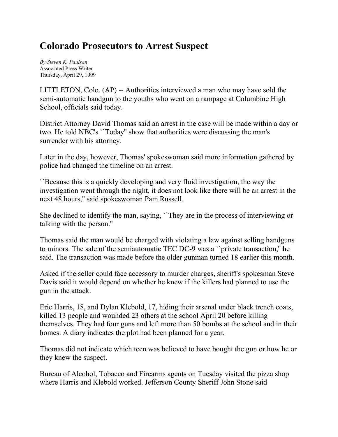## **Colorado Prosecutors to Arrest Suspect**

*By Steven K. Paulson* Associated Press Writer Thursday, April 29, 1999

LITTLETON, Colo. (AP) -- Authorities interviewed a man who may have sold the semi-automatic handgun to the youths who went on a rampage at Columbine High School, officials said today.

District Attorney David Thomas said an arrest in the case will be made within a day or two. He told NBC's ``Today'' show that authorities were discussing the man's surrender with his attorney.

Later in the day, however, Thomas' spokeswoman said more information gathered by police had changed the timeline on an arrest.

``Because this is a quickly developing and very fluid investigation, the way the investigation went through the night, it does not look like there will be an arrest in the next 48 hours,'' said spokeswoman Pam Russell.

She declined to identify the man, saying, ``They are in the process of interviewing or talking with the person.''

Thomas said the man would be charged with violating a law against selling handguns to minors. The sale of the semiautomatic TEC DC-9 was a ``private transaction,'' he said. The transaction was made before the older gunman turned 18 earlier this month.

Asked if the seller could face accessory to murder charges, sheriff's spokesman Steve Davis said it would depend on whether he knew if the killers had planned to use the gun in the attack.

Eric Harris, 18, and Dylan Klebold, 17, hiding their arsenal under black trench coats, killed 13 people and wounded 23 others at the school April 20 before killing themselves. They had four guns and left more than 50 bombs at the school and in their homes. A diary indicates the plot had been planned for a year.

Thomas did not indicate which teen was believed to have bought the gun or how he or they knew the suspect.

Bureau of Alcohol, Tobacco and Firearms agents on Tuesday visited the pizza shop where Harris and Klebold worked. Jefferson County Sheriff John Stone said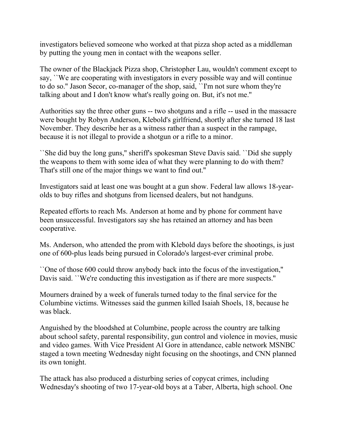investigators believed someone who worked at that pizza shop acted as a middleman by putting the young men in contact with the weapons seller.

The owner of the Blackjack Pizza shop, Christopher Lau, wouldn't comment except to say, ``We are cooperating with investigators in every possible way and will continue to do so.'' Jason Secor, co-manager of the shop, said, ``I'm not sure whom they're talking about and I don't know what's really going on. But, it's not me.''

Authorities say the three other guns -- two shotguns and a rifle -- used in the massacre were bought by Robyn Anderson, Klebold's girlfriend, shortly after she turned 18 last November. They describe her as a witness rather than a suspect in the rampage, because it is not illegal to provide a shotgun or a rifle to a minor.

``She did buy the long guns,'' sheriff's spokesman Steve Davis said. ``Did she supply the weapons to them with some idea of what they were planning to do with them? That's still one of the major things we want to find out.''

Investigators said at least one was bought at a gun show. Federal law allows 18-yearolds to buy rifles and shotguns from licensed dealers, but not handguns.

Repeated efforts to reach Ms. Anderson at home and by phone for comment have been unsuccessful. Investigators say she has retained an attorney and has been cooperative.

Ms. Anderson, who attended the prom with Klebold days before the shootings, is just one of 600-plus leads being pursued in Colorado's largest-ever criminal probe.

``One of those 600 could throw anybody back into the focus of the investigation,'' Davis said. ``We're conducting this investigation as if there are more suspects.''

Mourners drained by a week of funerals turned today to the final service for the Columbine victims. Witnesses said the gunmen killed Isaiah Shoels, 18, because he was black.

Anguished by the bloodshed at Columbine, people across the country are talking about school safety, parental responsibility, gun control and violence in movies, music and video games. With Vice President Al Gore in attendance, cable network MSNBC staged a town meeting Wednesday night focusing on the shootings, and CNN planned its own tonight.

The attack has also produced a disturbing series of copycat crimes, including Wednesday's shooting of two 17-year-old boys at a Taber, Alberta, high school. One